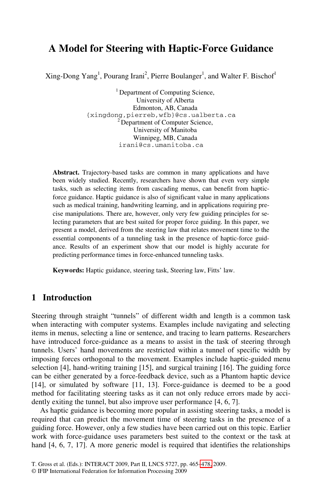# **A Model for Steering with Haptic-Force Guidance**

 $Xing-Dong Yang<sup>1</sup>, Pourang Irani<sup>2</sup>, Pierre Boulanger<sup>1</sup>, and Walter F. Bischof<sup>1</sup>$ 

<sup>1</sup> Department of Computing Science, University of Alberta Edmonton, AB, Canada {xingdong,pierreb,wfb}@cs.ualberta.ca 2 Department of Computer Science, University of Manitoba Winnipeg, MB, Canada irani@cs.umanitoba.ca

**Abstract.** Trajectory-based tasks are common in many applications and have been widely studied. Recently, researchers have shown that even very simple tasks, such as selecting items from cascading menus, can benefit from hapticforce guidance. Haptic guidance is also of significant value in many applications such as medical training, handwriting learning, and in applications requiring precise manipulations. There are, however, only very few guiding principles for selecting parameters that are best suited for proper force guiding. In this paper, we present a model, derived from the steering law that relates movement time to the essential components of a tunneling task in the presence of haptic-force guidance. Results of an experiment show that our model is highly accurate for predicting performance times in force-enhanced tunneling tasks.

**Keywords:** Haptic guidance, steering task, Steering law, Fitts' law.

# **1 Introduction**

Steering through straight "tunnels" of different width and length is a common task when interacting with computer systems. Examples include navigating and selecting items in menus, selecting a line or sentence, and tracing to learn patterns. Researchers have introduced force-guidance as a means to assist in the task of steering through tunnels. Users' hand movements are restricted within a tunnel of specific width by imposing forces orthogonal to the movement. Examples include haptic-guided menu selection [4], hand-writing training [15], and surgical training [16]. The guiding force can be either generated by a force-feedback device, such as a Phantom haptic device [14], or simulated by software [11, 13]. Force-guidance is deemed to be a good method for facilitating steering tas[ks a](#page-13-0)s it can not only reduce errors made by accidently exiting the tunnel, but also improve user performance [4, 6, 7].

As haptic guidance is becoming more popular in assisting steering tasks, a model is required that can predict the movement time of steering tasks in the presence of a guiding force. However, only a few studies have been carried out on this topic. Earlier work with force-guidance uses parameters best suited to the context or the task at hand [4, 6, 7, 17]. A more generic model is required that identifies the relationships

T. Gross et al. (Eds.): INTERACT 2009, Part II, LNCS 5727, pp. 465–478, 2009.

<sup>©</sup> IFIP International Federation for Information Processing 2009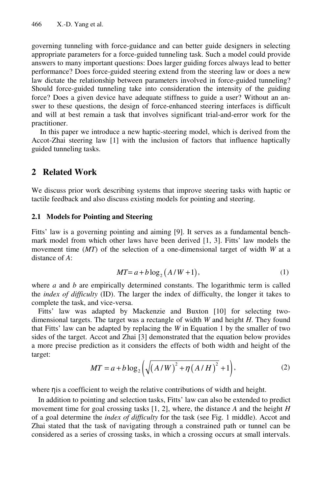governing tunneling with force-guidance and can better guide designers in selecting appropriate parameters for a force-guided tunneling task. Such a model could provide answers to many important questions: Does larger guiding forces always lead to better performance? Does force-guided steering extend from the steering law or does a new law dictate the relationship between parameters involved in force-guided tunneling? Should force-guided tunneling take into consideration the intensity of the guiding force? Does a given device have adequate stiffness to guide a user? Without an answer to these questions, the design of force-enhanced steering interfaces is difficult and will at best remain a task that involves significant trial-and-error work for the practitioner.

In this paper we introduce a new haptic-steering model, which is derived from the Accot-Zhai steering law [1] with the inclusion of factors that influence haptically guided tunneling tasks.

# **2 Related Work**

We discuss prior work describing systems that improve steering tasks with haptic or tactile feedback and also discuss existing models for pointing and steering.

## **2.1 Models for Pointing and Steering**

Fitts' law is a governing pointing and aiming [9]. It serves as a fundamental benchmark model from which other laws have been derived [1, 3]. Fitts' law models the movement time (*MT*) of the selection of a one-dimensional target of width *W* at a distance of *A*:

$$
MT = a + b \log_2 (A/W + 1), \tag{1}
$$

where *a* and *b* are empirically determined constants. The logarithmic term is called the *index of difficulty* (ID). The larger the index of difficulty, the longer it takes to complete the task, and vice-versa.

Fitts' law was adapted by Mackenzie and Buxton [10] for selecting twodimensional targets. The target was a rectangle of width *W* and height *H*. They found that Fitts' law can be adapted by replacing the *W* in Equation 1 by the smaller of two sides of the target. Accot and Zhai [3] demonstrated that the equation below provides a more precise prediction as it considers the effects of both width and height of the target:

$$
MT = a + b \log_2 \left( \sqrt{\left(A/W\right)^2 + \eta \left(A/H\right)^2} + 1 \right),\tag{2}
$$

where ηis a coefficient to weigh the relative contributions of width and height.

In addition to pointing and selection tasks, Fitts' law can also be extended to predict movement time for goal crossing tasks [1, 2], where, the distance *A* and the height *H*  of a goal determine the *index of difficulty* for the task (see Fig. 1 middle). Accot and Zhai stated that the task of navigating through a constrained path or tunnel can be considered as a series of crossing tasks, in which a crossing occurs at small intervals.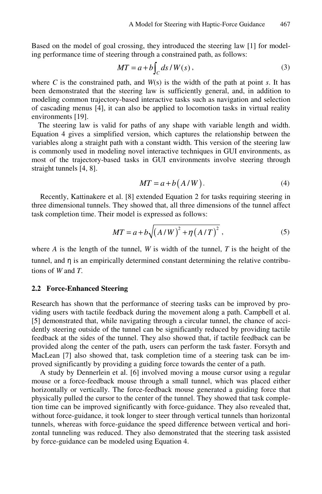Based on the model of goal crossing, they introduced the steering law [1] for modeling performance time of steering through a constrained path, as follows:

$$
MT = a + b \int_C ds / W(s) , \qquad (3)
$$

where  $C$  is the constrained path, and  $W(s)$  is the width of the path at point  $s$ . It has been demonstrated that the steering law is sufficiently general, and, in addition to modeling common trajectory-based interactive tasks such as navigation and selection of cascading menus [4], it can also be applied to locomotion tasks in virtual reality environments [19].

The steering law is valid for paths of any shape with variable length and width. Equation 4 gives a simplified version, which captures the relationship between the variables along a straight path with a constant width. This version of the steering law is commonly used in modeling novel interactive techniques in GUI environments, as most of the trajectory-based tasks in GUI environments involve steering through straight tunnels [4, 8].

$$
MT = a + b(A/W). \tag{4}
$$

Recently, Kattinakere et al. [8] extended Equation 2 for tasks requiring steering in three dimensional tunnels. They showed that, all three dimensions of the tunnel affect task completion time. Their model is expressed as follows:

$$
MT = a + b\sqrt{(A/W)^{2} + \eta (A/T)^{2}} , \qquad (5)
$$

where *A* is the length of the tunnel, *W* is width of the tunnel, *T* is the height of the tunnel, and η is an empirically determined constant determining the relative contributions of *W* and *T*.

#### **2.2 Force-Enhanced Steering**

Research has shown that the performance of steering tasks can be improved by providing users with tactile feedback during the movement along a path. Campbell et al. [5] demonstrated that, while navigating through a circular tunnel, the chance of accidently steering outside of the tunnel can be significantly reduced by providing tactile feedback at the sides of the tunnel. They also showed that, if tactile feedback can be provided along the center of the path, users can perform the task faster. Forsyth and MacLean [7] also showed that, task completion time of a steering task can be improved significantly by providing a guiding force towards the center of a path.

A study by Dennerlein et al. [6] involved moving a mouse cursor using a regular mouse or a force-feedback mouse through a small tunnel, which was placed either horizontally or vertically. The force-feedback mouse generated a guiding force that physically pulled the cursor to the center of the tunnel. They showed that task completion time can be improved significantly with force-guidance. They also revealed that, without force-guidance, it took longer to steer through vertical tunnels than horizontal tunnels, whereas with force-guidance the speed difference between vertical and horizontal tunneling was reduced. They also demonstrated that the steering task assisted by force-guidance can be modeled using Equation 4.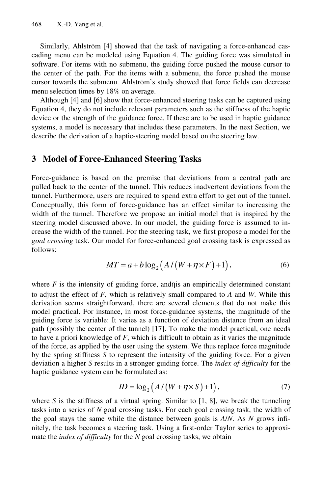Similarly, Ahlström [4] showed that the task of navigating a force-enhanced cascading menu can be modeled using Equation 4. The guiding force was simulated in software. For items with no submenu, the guiding force pushed the mouse cursor to the center of the path. For the items with a submenu, the force pushed the mouse cursor towards the submenu. Ahlström's study showed that force fields can decrease menu selection times by 18% on average.

Although [4] and [6] show that force-enhanced steering tasks can be captured using Equation 4, they do not include relevant parameters such as the stiffness of the haptic device or the strength of the guidance force. If these are to be used in haptic guidance systems, a model is necessary that includes these parameters. In the next Section, we describe the derivation of a haptic-steering model based on the steering law.

## **3 Model of Force-Enhanced Steering Tasks**

Force-guidance is based on the premise that deviations from a central path are pulled back to the center of the tunnel. This reduces inadvertent deviations from the tunnel. Furthermore, users are required to spend extra effort to get out of the tunnel. Conceptually, this form of force-guidance has an effect similar to increasing the width of the tunnel. Therefore we propose an initial model that is inspired by the steering model discussed above. In our model, the guiding force is assumed to increase the width of the tunnel. For the steering task, we first propose a model for the *goal crossing* task. Our model for force-enhanced goal crossing task is expressed as follows:

$$
MT = a + b \log_2 (A/(W + \eta \times F) + 1), \qquad (6)
$$

where  $F$  is the intensity of guiding force, and  $\eta$  is an empirically determined constant to adjust the effect of *F,* which is relatively small compared to *A* and *W*. While this derivation seems straightforward, there are several elements that do not make this model practical. For instance, in most force-guidance systems, the magnitude of the guiding force is variable: It varies as a function of deviation distance from an ideal path (possibly the center of the tunnel) [17]. To make the model practical, one needs to have a priori knowledge of *F*, which is difficult to obtain as it varies the magnitude of the force, as applied by the user using the system. We thus replace force magnitude by the spring stiffness *S* to represent the intensity of the guiding force. For a given deviation a higher *S* results in a stronger guiding force. The *index of difficulty* for the haptic guidance system can be formulated as:

$$
ID = \log_2(A/(W + \eta \times S) + 1), \tag{7}
$$

where *S* is the stiffness of a virtual spring. Similar to  $\lceil 1, 8 \rceil$ , we break the tunneling tasks into a series of *N* goal crossing tasks. For each goal crossing task, the width of the goal stays the same while the distance between goals is *A*/*N*. As *N* grows infinitely, the task becomes a steering task. Using a first-order Taylor series to approximate the *index of difficulty* for the *N* goal crossing tasks, we obtain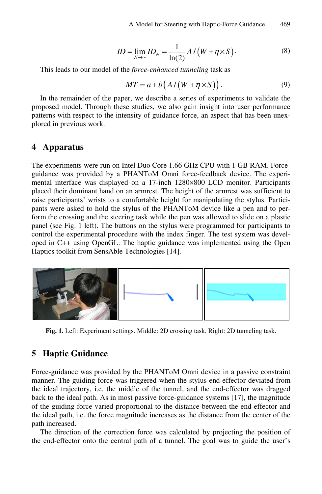$$
ID = \lim_{N \to \infty} ID_N = \frac{1}{\ln(2)} A / (W + \eta \times S).
$$
 (8)

This leads to our model of the *force-enhanced tunneling* task as

$$
MT = a + b\left(A/\left(W + \eta \times S\right)\right). \tag{9}
$$

In the remainder of the paper, we describe a series of experiments to validate the proposed model. Through these studies, we also gain insight into user performance patterns with respect to the intensity of guidance force, an aspect that has been unexplored in previous work.

## **4 Apparatus**

The experiments were run on Intel Duo Core 1.66 GHz CPU with 1 GB RAM. Forceguidance was provided by a PHANToM Omni force-feedback device. The experimental interface was displayed on a 17-inch 1280×800 LCD monitor. Participants placed their dominant hand on an armrest. The height of the armrest was sufficient to raise participants' wrists to a comfortable height for manipulating the stylus. Participants were asked to hold the stylus of the PHANToM device like a pen and to perform the crossing and the steering task while the pen was allowed to slide on a plastic panel (see Fig. 1 left). The buttons on the stylus were programmed for participants to control the experimental procedure with the index finger. The test system was developed in C++ using OpenGL. The haptic guidance was implemented using the Open Haptics toolkit from SensAble Technologies [14].



**Fig. 1.** Left: Experiment settings. Middle: 2D crossing task. Right: 2D tunneling task.

# **5 Haptic Guidance**

Force-guidance was provided by the PHANToM Omni device in a passive constraint manner. The guiding force was triggered when the stylus end-effector deviated from the ideal trajectory, i.e. the middle of the tunnel, and the end-effector was dragged back to the ideal path. As in most passive force-guidance systems [17], the magnitude of the guiding force varied proportional to the distance between the end-effector and the ideal path, i.e. the force magnitude increases as the distance from the center of the path increased.

The direction of the correction force was calculated by projecting the position of the end-effector onto the central path of a tunnel. The goal was to guide the user's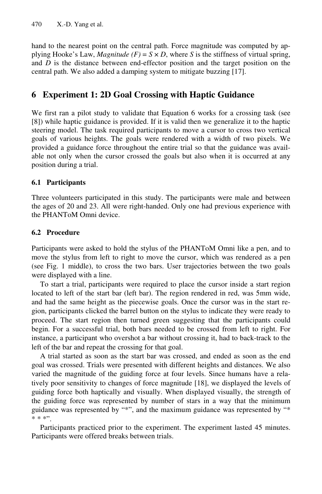hand to the nearest point on the central path. Force magnitude was computed by applying Hooke's Law, *Magnitude*  $(F) = S \times D$ , where *S* is the stiffness of virtual spring, and *D* is the distance between end-effector position and the target position on the central path. We also added a damping system to mitigate buzzing [17].

# **6 Experiment 1: 2D Goal Crossing with Haptic Guidance**

We first ran a pilot study to validate that Equation 6 works for a crossing task (see [8]) while haptic guidance is provided. If it is valid then we generalize it to the haptic steering model. The task required participants to move a cursor to cross two vertical goals of various heights. The goals were rendered with a width of two pixels. We provided a guidance force throughout the entire trial so that the guidance was available not only when the cursor crossed the goals but also when it is occurred at any position during a trial.

# **6.1 Participants**

Three volunteers participated in this study. The participants were male and between the ages of 20 and 23. All were right-handed. Only one had previous experience with the PHANToM Omni device.

# **6.2 Procedure**

Participants were asked to hold the stylus of the PHANToM Omni like a pen, and to move the stylus from left to right to move the cursor, which was rendered as a pen (see Fig. 1 middle), to cross the two bars. User trajectories between the two goals were displayed with a line.

To start a trial, participants were required to place the cursor inside a start region located to left of the start bar (left bar). The region rendered in red, was 5mm wide, and had the same height as the piecewise goals. Once the cursor was in the start region, participants clicked the barrel button on the stylus to indicate they were ready to proceed. The start region then turned green suggesting that the participants could begin. For a successful trial, both bars needed to be crossed from left to right. For instance, a participant who overshot a bar without crossing it, had to back-track to the left of the bar and repeat the crossing for that goal.

A trial started as soon as the start bar was crossed, and ended as soon as the end goal was crossed. Trials were presented with different heights and distances. We also varied the magnitude of the guiding force at four levels. Since humans have a relatively poor sensitivity to changes of force magnitude [18], we displayed the levels of guiding force both haptically and visually. When displayed visually, the strength of the guiding force was represented by number of stars in a way that the minimum guidance was represented by "\*", and the maximum guidance was represented by "\*  $* * * "$ 

Participants practiced prior to the experiment. The experiment lasted 45 minutes. Participants were offered breaks between trials.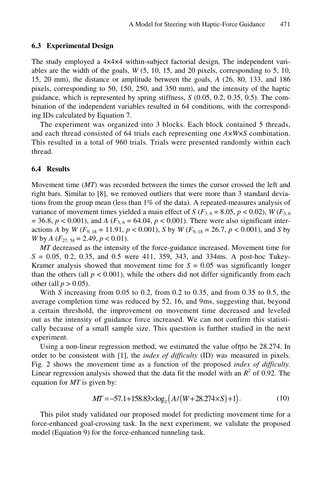#### **6.3 Experimental Design**

The study employed a 4×4×4 within-subject factorial design, The independent variables are the width of the goals, *W* (5, 10, 15, and 20 pixels, corresponding to 5, 10, 15, 20 mm), the distance or amplitude between the goals, *A* (26, 80, 133, and 186 pixels, corresponding to 50, 150, 250, and 350 mm), and the intensity of the haptic guidance, which is represented by spring stiffness, *S* (0.05, 0.2, 0.35, 0.5). The combination of the independent variables resulted in 64 conditions, with the corresponding IDs calculated by Equation 7.

The experiment was organized into 3 blocks. Each block contained 5 threads, and each thread consisted of 64 trials each representing one *A*×*W*×*S* combination. This resulted in a total of 960 trials. Trials were presented randomly within each thread.

### **6.4 Results**

Movement time (*MT*) was recorded between the times the cursor crossed the left and right bars. Similar to [8], we removed outliers that were more than 3 standard deviations from the group mean (less than 1% of the data). A repeated-measures analysis of variance of movement times yielded a main effect of *S* ( $F_{3,6} = 8.05$ ,  $p < 0.02$ ), *W* ( $F_{3,6}$  $= 36.8, p < 0.001$ , and *A* ( $F_{3.6} = 64.04, p < 0.001$ ). There were also significant interactions *A* by *W* ( $F_{9,18} = 11.91$ ,  $p < 0.001$ ), *S* by *W* ( $F_{9,18} = 26.7$ ,  $p < 0.001$ ), and *S* by *W* by *A* (*F*27, 54 = 2.49, *p* < 0.01).

*MT* decreased as the intensity of the force-guidance increased. Movement time for *S* = 0.05, 0.2, 0.35, and 0.5 were 411, 359, 343, and 334ms. A post-hoc Tukey-Kramer analysis showed that movement time for  $S = 0.05$  was significantly longer than the others (all  $p < 0.001$ ), while the others did not differ significantly from each other (all  $p > 0.05$ ).

With *S* increasing from 0.05 to 0.2, from 0.2 to 0.35, and from 0.35 to 0.5, the average completion time was reduced by 52, 16, and 9ms, suggesting that, beyond a certain threshold, the improvement on movement time decreased and leveled out as the intensity of guidance force increased. We can not confirm this statistically because of a small sample size. This question is further studied in the next experiment.

Using a non-linear regression method, we estimated the value of to be 28.274. In order to be consistent with [1], the *index of difficulty* (ID) was measured in pixels. Fig. 2 shows the movement time as a function of the proposed *index of difficulty*. Linear regression analysis showed that the data fit the model with an  $R^2$  of 0.92. The equation for *MT* is given by:

$$
MT = -57.1 + 158.83 \times \log_2(A/(W + 28.274 \times S) + 1). \tag{10}
$$

This pilot study validated our proposed model for predicting movement time for a force-enhanced goal-crossing task. In the next experiment, we validate the proposed model (Equation 9) for the force-enhanced tunneling task.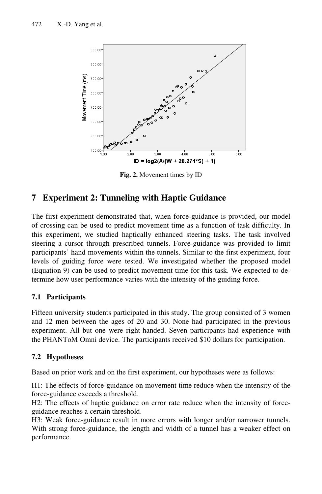

**Fig. 2.** Movement times by ID

# **7 Experiment 2: Tunneling with Haptic Guidance**

The first experiment demonstrated that, when force-guidance is provided, our model of crossing can be used to predict movement time as a function of task difficulty. In this experiment, we studied haptically enhanced steering tasks. The task involved steering a cursor through prescribed tunnels. Force-guidance was provided to limit participants' hand movements within the tunnels. Similar to the first experiment, four levels of guiding force were tested. We investigated whether the proposed model (Equation 9) can be used to predict movement time for this task. We expected to determine how user performance varies with the intensity of the guiding force.

## **7.1 Participants**

Fifteen university students participated in this study. The group consisted of 3 women and 12 men between the ages of 20 and 30. None had participated in the previous experiment. All but one were right-handed. Seven participants had experience with the PHANToM Omni device. The participants received \$10 dollars for participation.

## **7.2 Hypotheses**

Based on prior work and on the first experiment, our hypotheses were as follows:

H1: The effects of force-guidance on movement time reduce when the intensity of the force-guidance exceeds a threshold.

H2: The effects of haptic guidance on error rate reduce when the intensity of forceguidance reaches a certain threshold.

H3: Weak force-guidance result in more errors with longer and/or narrower tunnels. With strong force-guidance, the length and width of a tunnel has a weaker effect on performance.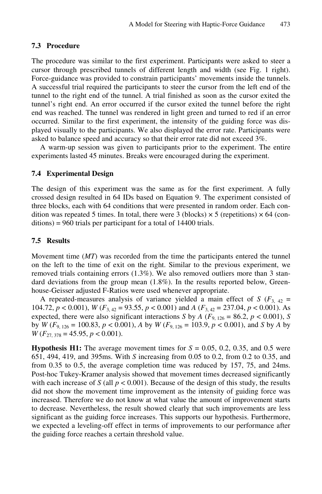### **7.3 Procedure**

The procedure was similar to the first experiment. Participants were asked to steer a cursor through prescribed tunnels of different length and width (see Fig. 1 right). Force-guidance was provided to constrain participants' movements inside the tunnels. A successful trial required the participants to steer the cursor from the left end of the tunnel to the right end of the tunnel. A trial finished as soon as the cursor exited the tunnel's right end. An error occurred if the cursor exited the tunnel before the right end was reached. The tunnel was rendered in light green and turned to red if an error occurred. Similar to the first experiment, the intensity of the guiding force was displayed visually to the participants. We also displayed the error rate. Participants were asked to balance speed and accuracy so that their error rate did not exceed 3%.

A warm-up session was given to participants prior to the experiment. The entire experiments lasted 45 minutes. Breaks were encouraged during the experiment.

### **7.4 Experimental Design**

The design of this experiment was the same as for the first experiment. A fully crossed design resulted in 64 IDs based on Equation 9. The experiment consisted of three blocks, each with 64 conditions that were presented in random order. Each condition was repeated 5 times. In total, there were 3 (blocks)  $\times$  5 (repetitions)  $\times$  64 (conditions) = 960 trials per participant for a total of 14400 trials.

### **7.5 Results**

Movement time (*MT*) was recorded from the time the participants entered the tunnel on the left to the time of exit on the right. Similar to the previous experiment, we removed trials containing errors (1.3%). We also removed outliers more than 3 standard deviations from the group mean (1.8%). In the results reported below, Greenhouse-Geisser adjusted F-Ratios were used whenever appropriate.

A repeated-measures analysis of variance yielded a main effect of *S* ( $F_{3, 42}$  = 104.72,  $p < 0.001$ ),  $W(F_{3,42} = 93.55, p < 0.001)$  and  $A(F_{3,42} = 237.04, p < 0.001)$ . As expected, there were also significant interactions *S* by *A* ( $F_{9, 126} = 86.2, p < 0.001$ ), *S* by *W* (*F*9, 126 = 100.83, *p* < 0.001), *A* by *W* (*F*9, 126 = 103.9, *p* < 0.001), and *S* by *A* by *W* (*F*27, 378 = 45.95, *p* < 0.001).

**Hypothesis H1:** The average movement times for  $S = 0.05, 0.2, 0.35,$  and 0.5 were 651, 494, 419, and 395ms. With *S* increasing from 0.05 to 0.2, from 0.2 to 0.35, and from 0.35 to 0.5, the average completion time was reduced by 157, 75, and 24ms. Post-hoc Tukey-Kramer analysis showed that movement times decreased significantly with each increase of *S* (all  $p < 0.001$ ). Because of the design of this study, the results did not show the movement time improvement as the intensity of guiding force was increased. Therefore we do not know at what value the amount of improvement starts to decrease. Nevertheless, the result showed clearly that such improvements are less significant as the guiding force increases. This supports our hypothesis. Furthermore, we expected a leveling-off effect in terms of improvements to our performance after the guiding force reaches a certain threshold value.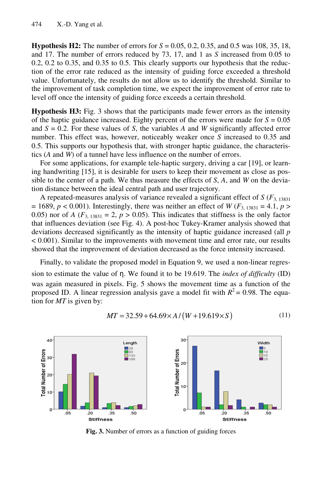**Hypothesis H2:** The number of errors for *S* = 0.05, 0.2, 0.35, and 0.5 was 108, 35, 18, and 17. The number of errors reduced by 73, 17, and 1 as *S* increased from 0.05 to 0.2, 0.2 to 0.35, and 0.35 to 0.5. This clearly supports our hypothesis that the reduction of the error rate reduced as the intensity of guiding force exceeded a threshold value. Unfortunately, the results do not allow us to identify the threshold. Similar to the improvement of task completion time, we expect the improvement of error rate to level off once the intensity of guiding force exceeds a certain threshold.

**Hypothesis H3:** Fig. 3 shows that the participants made fewer errors as the intensity of the haptic guidance increased. Eighty percent of the errors were made for  $S = 0.05$ and  $S = 0.2$ . For these values of *S*, the variables *A* and *W* significantly affected error number. This effect was, however, noticeably weaker once *S* increased to 0.35 and 0.5. This supports our hypothesis that, with stronger haptic guidance, the characteristics (*A* and *W*) of a tunnel have less influence on the number of errors.

For some applications, for example tele-haptic surgery, driving a car [19], or learning handwriting [15], it is desirable for users to keep their movement as close as possible to the center of a path. We thus measure the effects of *S*, *A*, and *W* on the deviation distance between the ideal central path and user trajectory.

A repeated-measures analysis of variance revealed a significant effect of  $S(F_{3, 13831})$  $= 1689$ ,  $p < 0.001$ ). Interestingly, there was neither an effect of *W* ( $F_{3, 13831} = 4.1$ ,  $p >$ 0.05) nor of *A* ( $F_{3,13831} = 2$ ,  $p > 0.05$ ). This indicates that stiffness is the only factor that influences deviation (see Fig. 4). A post-hoc Tukey-Kramer analysis showed that deviations decreased significantly as the intensity of haptic guidance increased (all *p* < 0.001). Similar to the improvements with movement time and error rate, our results showed that the improvement of deviation decreased as the force intensity increased.

Finally, to validate the proposed model in Equation 9, we used a non-linear regression to estimate the value of η. We found it to be 19.619. The *index of difficulty* (ID) was again measured in pixels. Fig. 5 shows the movement time as a function of the proposed ID. A linear regression analysis gave a model fit with  $R^2 = 0.98$ . The equation for *MT* is given by:



$$
MT = 32.59 + 64.69 \times A / (W + 19.619 \times S)
$$
 (11)

**Fig. 3.** Number of errors as a function of guiding forces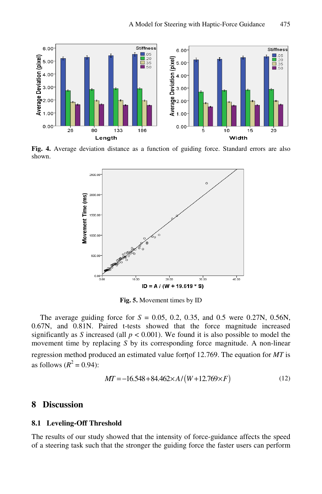

**Fig. 4.** Average deviation distance as a function of guiding force. Standard errors are also shown.



**Fig. 5.** Movement times by ID

The average guiding force for *S* = 0.05, 0.2, 0.35, and 0.5 were 0.27N, 0.56N, 0.67N, and 0.81N. Paired t-tests showed that the force magnitude increased significantly as *S* increased (all  $p < 0.001$ ). We found it is also possible to model the movement time by replacing *S* by its corresponding force magnitude. A non-linear regression method produced an estimated value forηof 12.769. The equation for *MT* is as follows  $(R^2 = 0.94)$ :

$$
MT = -16.548 + 84.462 \times A / (W + 12.769 \times F) \tag{12}
$$

## **8 Discussion**

#### **8.1 Leveling-Off Threshold**

The results of our study showed that the intensity of force-guidance affects the speed of a steering task such that the stronger the guiding force the faster users can perform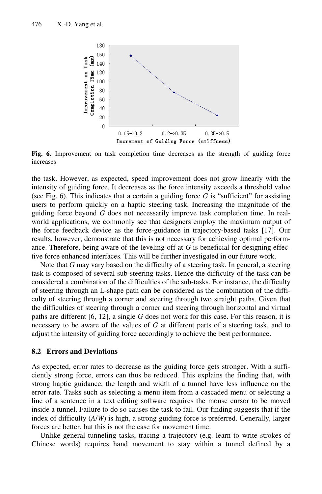

**Fig. 6.** Improvement on task completion time decreases as the strength of guiding force increases

the task. However, as expected, speed improvement does not grow linearly with the intensity of guiding force. It decreases as the force intensity exceeds a threshold value (see Fig. 6). This indicates that a certain a guiding force *G* is "sufficient" for assisting users to perform quickly on a haptic steering task. Increasing the magnitude of the guiding force beyond *G* does not necessarily improve task completion time. In realworld applications, we commonly see that designers employ the maximum output of the force feedback device as the force-guidance in trajectory-based tasks [17]. Our results, however, demonstrate that this is not necessary for achieving optimal performance. Therefore, being aware of the leveling-off at *G* is beneficial for designing effective force enhanced interfaces. This will be further investigated in our future work.

Note that *G* may vary based on the difficulty of a steering task. In general, a steering task is composed of several sub-steering tasks. Hence the difficulty of the task can be considered a combination of the difficulties of the sub-tasks. For instance, the difficulty of steering through an L-shape path can be considered as the combination of the difficulty of steering through a corner and steering through two straight paths. Given that the difficulties of steering through a corner and steering through horizontal and virtual paths are different [6, 12], a single *G* does not work for this case. For this reason, it is necessary to be aware of the values of *G* at different parts of a steering task, and to adjust the intensity of guiding force accordingly to achieve the best performance.

#### **8.2 Errors and Deviations**

As expected, error rates to decrease as the guiding force gets stronger. With a sufficiently strong force, errors can thus be reduced. This explains the finding that, with strong haptic guidance, the length and width of a tunnel have less influence on the error rate. Tasks such as selecting a menu item from a cascaded menu or selecting a line of a sentence in a text editing software requires the mouse cursor to be moved inside a tunnel. Failure to do so causes the task to fail. Our finding suggests that if the index of difficulty (*A*/*W*) is high, a strong guiding force is preferred. Generally, larger forces are better, but this is not the case for movement time.

Unlike general tunneling tasks, tracing a trajectory (e.g. learn to write strokes of Chinese words) requires hand movement to stay within a tunnel defined by a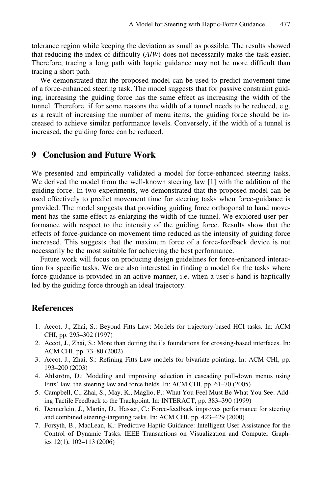tolerance region while keeping the deviation as small as possible. The results showed that reducing the index of difficulty (*A*/*W*) does not necessarily make the task easier. Therefore, tracing a long path with haptic guidance may not be more difficult than tracing a short path.

We demonstrated that the proposed model can be used to predict movement time of a force-enhanced steering task. The model suggests that for passive constraint guiding, increasing the guiding force has the same effect as increasing the width of the tunnel. Therefore, if for some reasons the width of a tunnel needs to be reduced, e.g. as a result of increasing the number of menu items, the guiding force should be increased to achieve similar performance levels. Conversely, if the width of a tunnel is increased, the guiding force can be reduced.

## **9 Conclusion and Future Work**

We presented and empirically validated a model for force-enhanced steering tasks. We derived the model from the well-known steering law [1] with the addition of the guiding force. In two experiments, we demonstrated that the proposed model can be used effectively to predict movement time for steering tasks when force-guidance is provided. The model suggests that providing guiding force orthogonal to hand movement has the same effect as enlarging the width of the tunnel. We explored user performance with respect to the intensity of the guiding force. Results show that the effects of force-guidance on movement time reduced as the intensity of guiding force increased. This suggests that the maximum force of a force-feedback device is not necessarily be the most suitable for achieving the best performance.

Future work will focus on producing design guidelines for force-enhanced interaction for specific tasks. We are also interested in finding a model for the tasks where force-guidance is provided in an active manner, i.e. when a user's hand is haptically led by the guiding force through an ideal trajectory.

## **References**

- 1. Accot, J., Zhai, S.: Beyond Fitts Law: Models for trajectory-based HCI tasks. In: ACM CHI, pp. 295–302 (1997)
- 2. Accot, J., Zhai, S.: More than dotting the i's foundations for crossing-based interfaces. In: ACM CHI, pp. 73–80 (2002)
- 3. Accot, J., Zhai, S.: Refining Fitts Law models for bivariate pointing. In: ACM CHI, pp. 193–200 (2003)
- 4. Ahlström, D.: Modeling and improving selection in cascading pull-down menus using Fitts' law, the steering law and force fields. In: ACM CHI, pp. 61–70 (2005)
- 5. Campbell, C., Zhai, S., May, K., Maglio, P.: What You Feel Must Be What You See: Adding Tactile Feedback to the Trackpoint. In: INTERACT, pp. 383–390 (1999)
- 6. Dennerlein, J., Martin, D., Hasser, C.: Force-feedback improves performance for steering and combined steering-targeting tasks. In: ACM CHI, pp. 423–429 (2000)
- 7. Forsyth, B., MacLean, K.: Predictive Haptic Guidance: Intelligent User Assistance for the Control of Dynamic Tasks. IEEE Transactions on Visualization and Computer Graphics 12(1), 102–113 (2006)